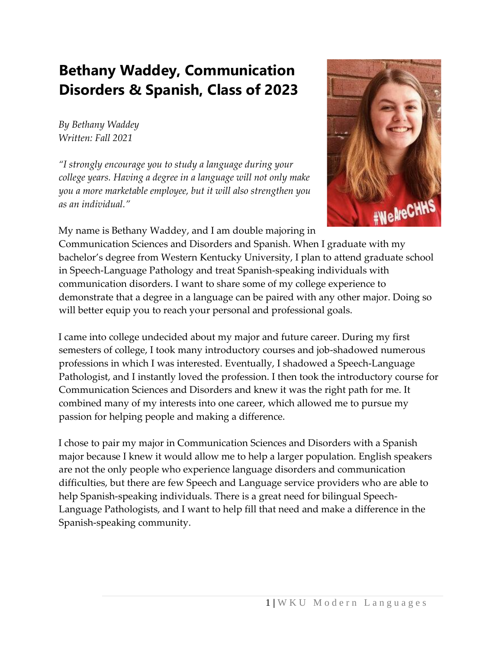## **Bethany Waddey, Communication Disorders & Spanish, Class of 2023**

*By Bethany Waddey Written: Fall 2021*

*"I strongly encourage you to study a language during your college years. Having a degree in a language will not only make you a more marketable employee, but it will also strengthen you as an individual."*



My name is Bethany Waddey, and I am double majoring in Communication Sciences and Disorders and Spanish. When I graduate with my bachelor's degree from Western Kentucky University, I plan to attend graduate school in Speech-Language Pathology and treat Spanish-speaking individuals with communication disorders. I want to share some of my college experience to demonstrate that a degree in a language can be paired with any other major. Doing so will better equip you to reach your personal and professional goals.

I came into college undecided about my major and future career. During my first semesters of college, I took many introductory courses and job-shadowed numerous professions in which I was interested. Eventually, I shadowed a Speech-Language Pathologist, and I instantly loved the profession. I then took the introductory course for Communication Sciences and Disorders and knew it was the right path for me. It combined many of my interests into one career, which allowed me to pursue my passion for helping people and making a difference.

I chose to pair my major in Communication Sciences and Disorders with a Spanish major because I knew it would allow me to help a larger population. English speakers are not the only people who experience language disorders and communication difficulties, but there are few Speech and Language service providers who are able to help Spanish-speaking individuals. There is a great need for bilingual Speech-Language Pathologists, and I want to help fill that need and make a difference in the Spanish-speaking community.